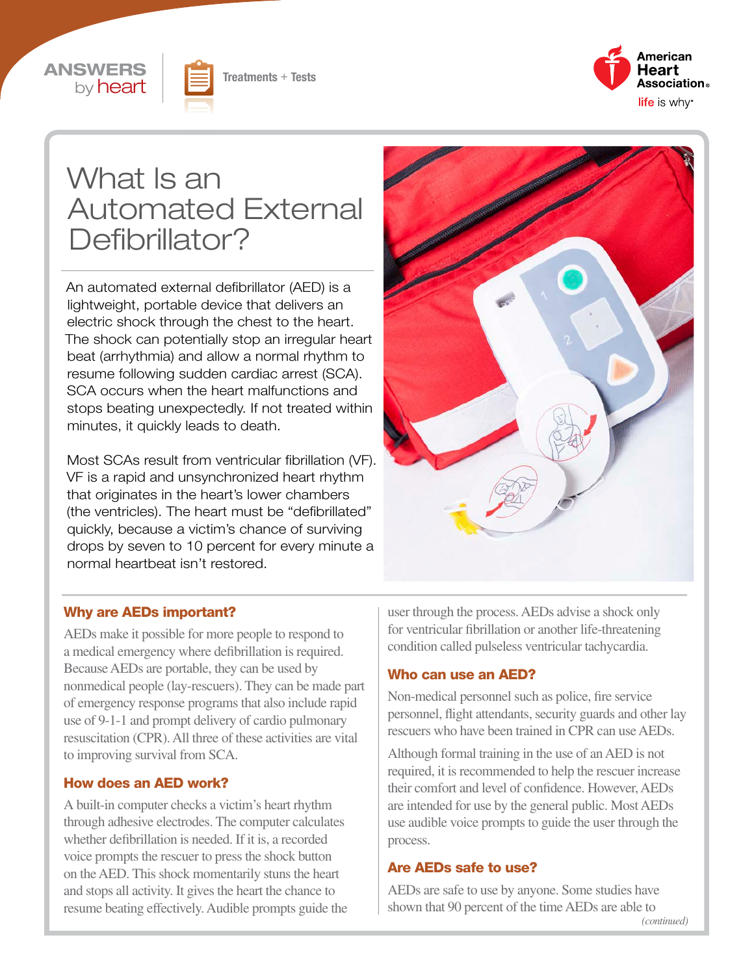





# What Is an Automated External Defibrillator?

An automated external defibrillator (AED) is a lightweight, portable device that delivers an electric shock through the chest to the heart. The shock can potentially stop an irregular heart beat (arrhythmia) and allow a normal rhythm to resume following sudden cardiac arrest (SCA). SCA occurs when the heart malfunctions and stops beating unexpectedly. If not treated within minutes, it quickly leads to death.

Most SCAs result from ventricular fibrillation (VF). VF is a rapid and unsynchronized heart rhythm that originates in the heart's lower chambers (the ventricles). The heart must be "defibrillated" quickly, because a victim's chance of surviving drops by seven to 10 percent for every minute a normal heartbeat isn't restored.



#### Why are AEDs important?

AEDs make it possible for more people to respond to a medical emergency where defibrillation is required. Because AEDs are portable, they can be used by nonmedical people (lay-rescuers). They can be made part of emergency response programs that also include rapid use of 9-1-1 and prompt delivery of cardio pulmonary resuscitation (CPR). All three of these activities are vital to improving survival from SCA.

#### How does an AED work?

A built-in computer checks a victim's heart rhythm through adhesive electrodes. The computer calculates whether defibrillation is needed. If it is, a recorded voice prompts the rescuer to press the shock button on the AED. This shock momentarily stuns the heart and stops all activity. It gives the heart the chance to resume beating effectively. Audible prompts guide the user through the process. AEDs advise a shock only for ventricular fibrillation or another life-threatening condition called pulseless ventricular tachycardia.

#### Who can use an AED?

Non-medical personnel such as police, fire service personnel, flight attendants, security guards and other lay rescuers who have been trained in CPR can use AEDs.

Although formal training in the use of an AED is not required, it is recommended to help the rescuer increase their comfort and level of confidence. However, AEDs are intended for use by the general public. Most AEDs use audible voice prompts to guide the user through the process.

#### Are AEDs safe to use?

AEDs are safe to use by anyone. Some studies have shown that 90 percent of the time AEDs are able to